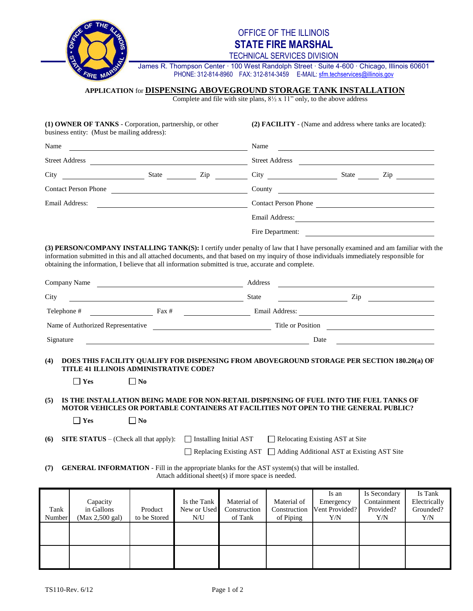

# OFFICE OF THE ILLINOIS **STATE FIRE MARSHAL**

TECHNICAL SERVICES DIVISION

James R. Thompson Center ∙ 100 West Randolph Street ∙ Suite 4-600 ∙ Chicago, Illinois 60601 PHONE: 312-814-8960 FAX: 312-814-3459 E-MAIL: sfm.techservices@illinois.gov

## **APPLICATION** for **DISPENSING ABOVEGROUND STORAGE TANK INSTALLATION**

Complete and file with site plans,  $8\frac{1}{2}$  x 11" only, to the above address

| (1) OWNER OF TANKS - Corporation, partnership, or other<br>business entity: (Must be mailing address): |  |  | (2) <b>FACILITY</b> - (Name and address where tanks are located): |  |  |  |
|--------------------------------------------------------------------------------------------------------|--|--|-------------------------------------------------------------------|--|--|--|
| Name<br><u> 1989 - Johann John Stone, Amerikaansk politiker (</u><br><b>Street Address</b>             |  |  | Name<br><b>Street Address</b>                                     |  |  |  |
|                                                                                                        |  |  |                                                                   |  |  |  |
| <b>Contact Person Phone</b>                                                                            |  |  | County                                                            |  |  |  |
| Email Address:                                                                                         |  |  | Contact Person Phone                                              |  |  |  |
|                                                                                                        |  |  | Email Address:                                                    |  |  |  |
|                                                                                                        |  |  | Fire Department:                                                  |  |  |  |

**(3) PERSON/COMPANY INSTALLING TANK(S):** I certify under penalty of law that I have personally examined and am familiar with the information submitted in this and all attached documents, and that based on my inquiry of those individuals immediately responsible for obtaining the information, I believe that all information submitted is true, accurate and complete.

| Company Name                      |                 | Address        |                   |     |
|-----------------------------------|-----------------|----------------|-------------------|-----|
| City                              |                 | <b>State</b>   |                   | Zip |
| Telephone #                       | $\text{Fax } #$ | Email Address: |                   |     |
| Name of Authorized Representative |                 |                | Title or Position |     |
| Signature                         |                 |                | Date              |     |

#### **(4) DOES THIS FACILITY QUALIFY FOR DISPENSING FROM ABOVEGROUND STORAGE PER SECTION 180.20(a) OF TITLE 41 ILLINOIS ADMINISTRATIVE CODE?**

| $\Box$ Yes | $\square$ No |
|------------|--------------|
|------------|--------------|

### **(5) IS THE INSTALLATION BEING MADE FOR NON-RETAIL DISPENSING OF FUEL INTO THE FUEL TANKS OF MOTOR VEHICLES OR PORTABLE CONTAINERS AT FACILITIES NOT OPEN TO THE GENERAL PUBLIC?**

| $\Box$ Yes | $\Box$ No |
|------------|-----------|
|------------|-----------|

- 
- **(6) SITE STATUS** (Check all that apply):  $\Box$  Installing Initial AST  $\Box$  Relocating Existing AST at Site

| Replacing Existing AST   Adding Additional AST at Existing AST Site |  |  |
|---------------------------------------------------------------------|--|--|
|---------------------------------------------------------------------|--|--|

#### **(7) GENERAL INFORMATION** - Fill in the appropriate blanks for the AST system(s) that will be installed. Attach additional sheet(s) if more space is needed.

|        |                 |              |             |              |              | Is an          | Is Secondary | Is Tank      |
|--------|-----------------|--------------|-------------|--------------|--------------|----------------|--------------|--------------|
|        | Capacity        |              | Is the Tank | Material of  | Material of  | Emergency      | Containment  | Electrically |
| Tank   | in Gallons      | Product      | New or Used | Construction | Construction | Vent Provided? | Provided?    | Grounded?    |
| Number | (Max 2,500 gal) | to be Stored | N/U         | of Tank      | of Piping    | Y/N            | Y/N          | Y/N          |
|        |                 |              |             |              |              |                |              |              |
|        |                 |              |             |              |              |                |              |              |
|        |                 |              |             |              |              |                |              |              |
|        |                 |              |             |              |              |                |              |              |
|        |                 |              |             |              |              |                |              |              |
|        |                 |              |             |              |              |                |              |              |